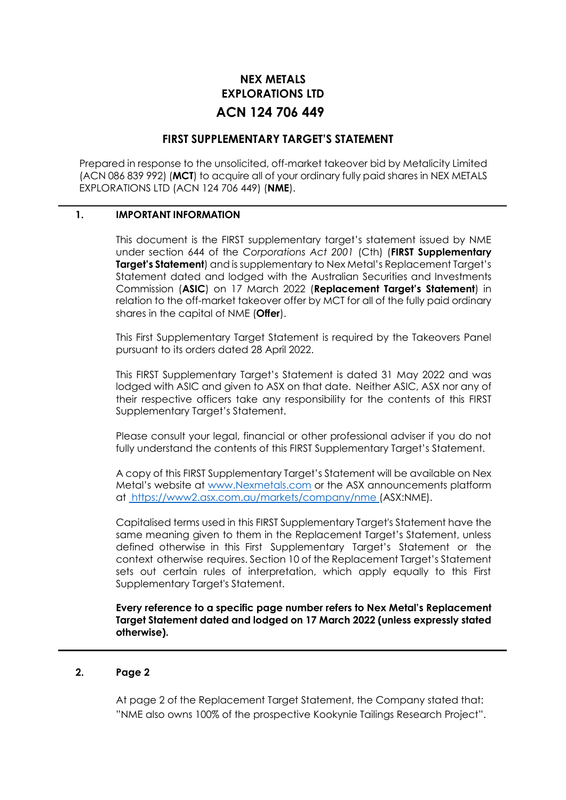# **NEX METALS EXPLORATIONS LTD ACN 124 706 449**

# **FIRST SUPPLEMENTARY TARGET'S STATEMENT**

Prepared in response to the unsolicited, off-market takeover bid by Metalicity Limited (ACN 086 839 992) (**MCT**) to acquire all of your ordinary fully paid shares in NEX METALS EXPLORATIONS LTD (ACN 124 706 449) (**NME**).

# **1. IMPORTANT INFORMATION**

This document is the FIRST supplementary target's statement issued by NME under section 644 of the *Corporations Act 2001* (Cth) (**FIRST Supplementary Target's Statement**) and is supplementary to Nex Metal's Replacement Target's Statement dated and lodged with the Australian Securities and Investments Commission (**ASIC**) on 17 March 2022 (**Replacement Target's Statement**) in relation to the off-market takeover offer by MCT for all of the fully paid ordinary shares in the capital of NME (**Offer**).

This First Supplementary Target Statement is required by the Takeovers Panel pursuant to its orders dated 28 April 2022.

This FIRST Supplementary Target's Statement is dated 31 May 2022 and was lodged with ASIC and given to ASX on that date. Neither ASIC, ASX nor any of their respective officers take any responsibility for the contents of this FIRST Supplementary Target's Statement.

Please consult your legal, financial or other professional adviser if you do not fully understand the contents of this FIRST Supplementary Target's Statement.

A copy of this FIRST Supplementary Target's Statement will be available on Nex Metal's website at [www.Nexmetals.com](http://www.nexmetals.com/) or the ASX announcements platform at [https://www2.asx.com.au/markets/company/nme \(](file:///C:/Users/Bradley/AppData/Local/Microsoft/Windows/INetCache/Content.Outlook/8FML9F5H/%20https:/www2.asx.com.au/markets/company/nme)ASX:NME).

Capitalised terms used in this FIRST Supplementary Target's Statement have the same meaning given to them in the Replacement Target's Statement, unless defined otherwise in this First Supplementary Target's Statement or the context otherwise requires. Section 10 of the Replacement Target's Statement sets out certain rules of interpretation, which apply equally to this First Supplementary Target's Statement.

**Every reference to a specific page number refers to Nex Metal's Replacement Target Statement dated and lodged on 17 March 2022 (unless expressly stated otherwise).**

## **2. Page 2**

At page 2 of the Replacement Target Statement, the Company stated that: "NME also owns 100% of the prospective Kookynie Tailings Research Project".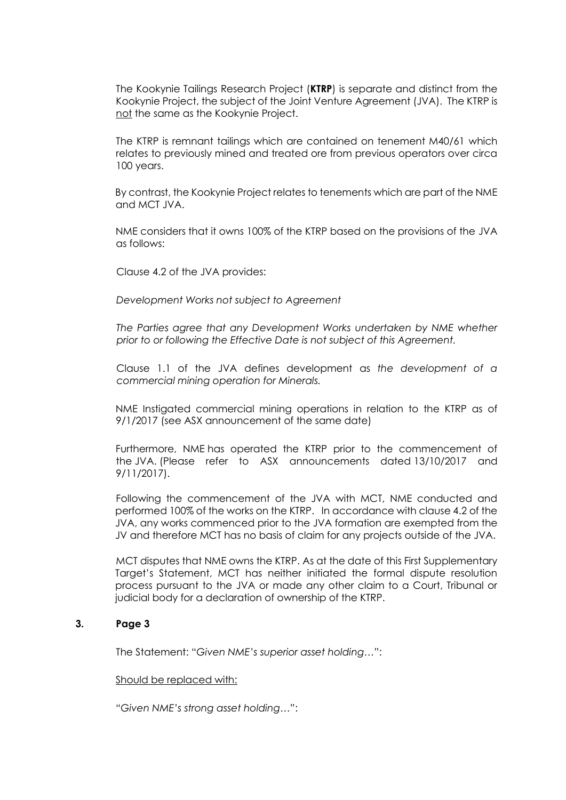The Kookynie Tailings Research Project (**KTRP**) is separate and distinct from the Kookynie Project, the subject of the Joint Venture Agreement (JVA). The KTRP is not the same as the Kookynie Project.

The KTRP is remnant tailings which are contained on tenement M40/61 which relates to previously mined and treated ore from previous operators over circa 100 years.

By contrast, the Kookynie Project relates to tenements which are part of the NME and MCT JVA.

NME considers that it owns 100% of the KTRP based on the provisions of the JVA as follows:

Clause 4.2 of the JVA provides:

*Development Works not subject to Agreement*

*The Parties agree that any Development Works undertaken by NME whether prior to or following the Effective Date is not subject of this Agreement.*

Clause 1.1 of the JVA defines development as *the development of a commercial mining operation for Minerals.*

NME Instigated commercial mining operations in relation to the KTRP as of 9/1/2017 (see ASX announcement of the same date)

Furthermore, NME has operated the KTRP prior to the commencement of the JVA. (Please refer to ASX announcements dated 13/10/2017 and 9/11/2017).

Following the commencement of the JVA with MCT, NME conducted and performed 100% of the works on the KTRP. In accordance with clause 4.2 of the JVA, any works commenced prior to the JVA formation are exempted from the JV and therefore MCT has no basis of claim for any projects outside of the JVA.

MCT disputes that NME owns the KTRP. As at the date of this First Supplementary Target's Statement, MCT has neither initiated the formal dispute resolution process pursuant to the JVA or made any other claim to a Court, Tribunal or judicial body for a declaration of ownership of the KTRP.

## **3. Page 3**

The Statement: "*Given NME's superior asset holding…*":

## Should be replaced with:

*"Given NME's strong asset holding…"*: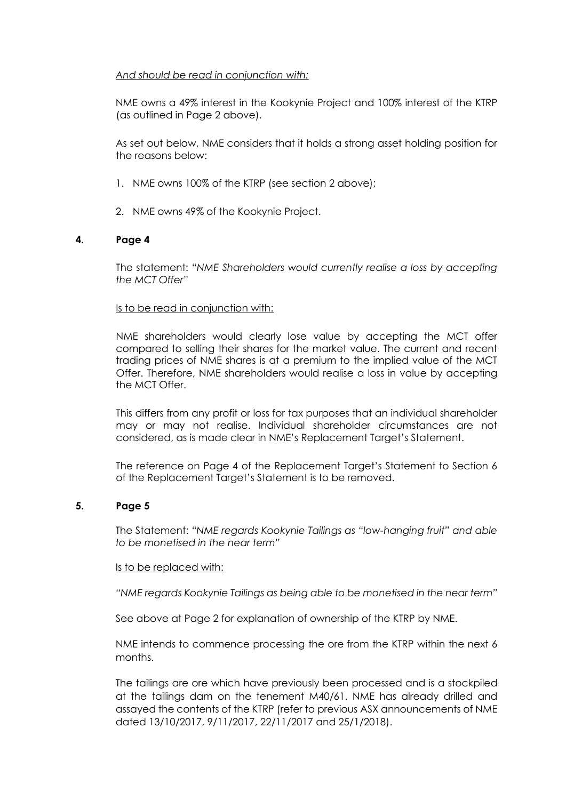# *And should be read in conjunction with:*

NME owns a 49% interest in the Kookynie Project and 100% interest of the KTRP (as outlined in Page 2 above).

As set out below, NME considers that it holds a strong asset holding position for the reasons below:

- 1. NME owns 100% of the KTRP (see section 2 above);
- 2. NME owns 49% of the Kookynie Project.

# **4. Page 4**

The statement: "*NME Shareholders would currently realise a loss by accepting the MCT Offer*"

# Is to be read in conjunction with:

NME shareholders would clearly lose value by accepting the MCT offer compared to selling their shares for the market value. The current and recent trading prices of NME shares is at a premium to the implied value of the MCT Offer. Therefore, NME shareholders would realise a loss in value by accepting the MCT Offer.

This differs from any profit or loss for tax purposes that an individual shareholder may or may not realise. Individual shareholder circumstances are not considered, as is made clear in NME's Replacement Target's Statement.

The reference on Page 4 of the Replacement Target's Statement to Section 6 of the Replacement Target's Statement is to be removed.

# **5. Page 5**

The Statement: *"NME regards Kookynie Tailings as "low-hanging fruit" and able to be monetised in the near term"*

# Is to be replaced with:

*"NME regards Kookynie Tailings as being able to be monetised in the near term"*

See above at Page 2 for explanation of ownership of the KTRP by NME.

NME intends to commence processing the ore from the KTRP within the next 6 months.

The tailings are ore which have previously been processed and is a stockpiled at the tailings dam on the tenement M40/61. NME has already drilled and assayed the contents of the KTRP (refer to previous ASX announcements of NME dated 13/10/2017, 9/11/2017, 22/11/2017 and 25/1/2018).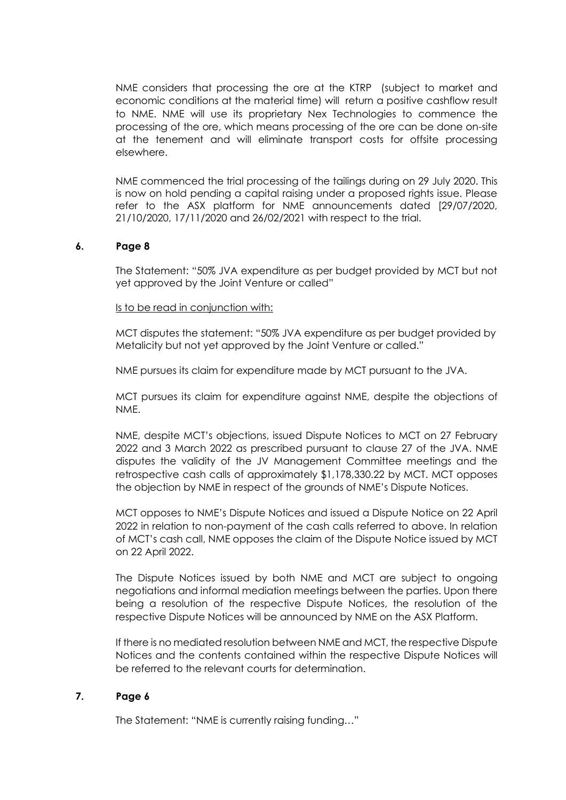NME considers that processing the ore at the KTRP (subject to market and economic conditions at the material time) will return a positive cashflow result to NME. NME will use its proprietary Nex Technologies to commence the processing of the ore, which means processing of the ore can be done on-site at the tenement and will eliminate transport costs for offsite processing elsewhere.

NME commenced the trial processing of the tailings during on 29 July 2020. This is now on hold pending a capital raising under a proposed rights issue. Please refer to the ASX platform for NME announcements dated [29/07/2020, 21/10/2020, 17/11/2020 and 26/02/2021 with respect to the trial.

## **6. Page 8**

The Statement: "50% JVA expenditure as per budget provided by MCT but not yet approved by the Joint Venture or called"

Is to be read in conjunction with:

MCT disputes the statement: "50% JVA expenditure as per budget provided by Metalicity but not yet approved by the Joint Venture or called."

NME pursues its claim for expenditure made by MCT pursuant to the JVA.

MCT pursues its claim for expenditure against NME, despite the objections of NME.

NME, despite MCT's objections, issued Dispute Notices to MCT on 27 February 2022 and 3 March 2022 as prescribed pursuant to clause 27 of the JVA. NME disputes the validity of the JV Management Committee meetings and the retrospective cash calls of approximately \$1,178,330.22 by MCT. MCT opposes the objection by NME in respect of the grounds of NME's Dispute Notices.

MCT opposes to NME's Dispute Notices and issued a Dispute Notice on 22 April 2022 in relation to non-payment of the cash calls referred to above. In relation of MCT's cash call, NME opposes the claim of the Dispute Notice issued by MCT on 22 April 2022.

The Dispute Notices issued by both NME and MCT are subject to ongoing negotiations and informal mediation meetings between the parties. Upon there being a resolution of the respective Dispute Notices, the resolution of the respective Dispute Notices will be announced by NME on the ASX Platform.

If there is no mediated resolution between NME and MCT, the respective Dispute Notices and the contents contained within the respective Dispute Notices will be referred to the relevant courts for determination.

# **7. Page 6**

The Statement: "NME is currently raising funding…"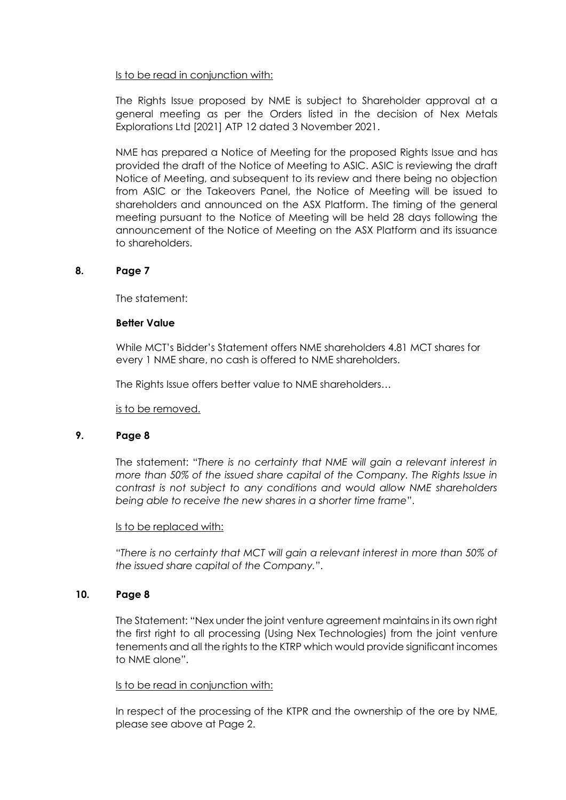## Is to be read in conjunction with:

The Rights Issue proposed by NME is subject to Shareholder approval at a general meeting as per the Orders listed in the decision of Nex Metals Explorations Ltd [2021] ATP 12 dated 3 November 2021.

NME has prepared a Notice of Meeting for the proposed Rights Issue and has provided the draft of the Notice of Meeting to ASIC. ASIC is reviewing the draft Notice of Meeting, and subsequent to its review and there being no objection from ASIC or the Takeovers Panel, the Notice of Meeting will be issued to shareholders and announced on the ASX Platform. The timing of the general meeting pursuant to the Notice of Meeting will be held 28 days following the announcement of the Notice of Meeting on the ASX Platform and its issuance to shareholders.

## **8. Page 7**

The statement:

## **Better Value**

While MCT's Bidder's Statement offers NME shareholders 4.81 MCT shares for every 1 NME share, no cash is offered to NME shareholders.

The Rights Issue offers better value to NME shareholders…

is to be removed.

## **9. Page 8**

The statement: "*There is no certainty that NME will gain a relevant interest in more than 50% of the issued share capital of the Company. The Rights Issue in contrast is not subject to any conditions and would allow NME shareholders being able to receive the new shares in a shorter time frame*".

## Is to be replaced with:

"*There is no certainty that MCT will gain a relevant interest in more than 50% of the issued share capital of the Company.*".

# **10. Page 8**

The Statement: "Nex under the joint venture agreement maintains in its own right the first right to all processing (Using Nex Technologies) from the joint venture tenements and all the rights to the KTRP which would provide significant incomes to NME alone".

## Is to be read in conjunction with:

In respect of the processing of the KTPR and the ownership of the ore by NME, please see above at Page 2.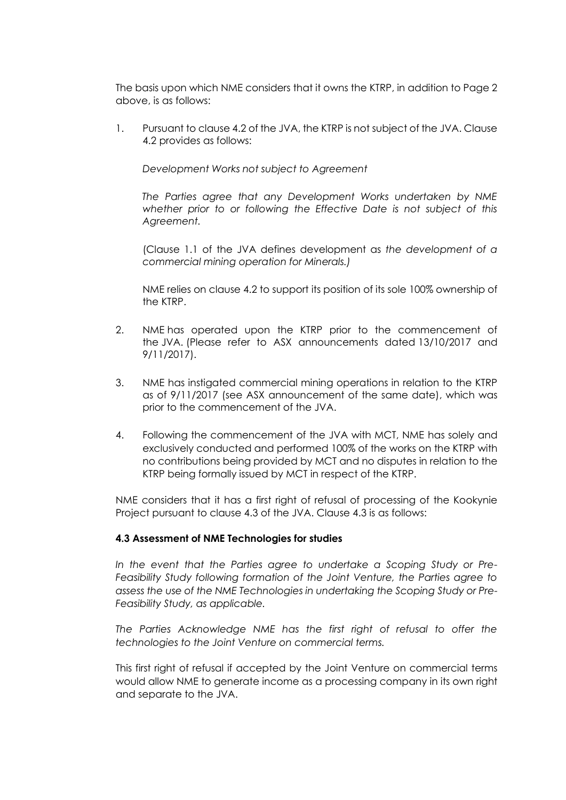The basis upon which NME considers that it owns the KTRP, in addition to Page 2 above, is as follows:

1. Pursuant to clause 4.2 of the JVA, the KTRP is not subject of the JVA. Clause 4.2 provides as follows:

*Development Works not subject to Agreement*

*The Parties agree that any Development Works undertaken by NME whether prior to or following the Effective Date is not subject of this Agreement.*

(Clause 1.1 of the JVA defines development as *the development of a commercial mining operation for Minerals.)*

NME relies on clause 4.2 to support its position of its sole 100% ownership of the KTRP.

- 2. NME has operated upon the KTRP prior to the commencement of the JVA. (Please refer to ASX announcements dated 13/10/2017 and 9/11/2017).
- 3. NME has instigated commercial mining operations in relation to the KTRP as of 9/11/2017 (see ASX announcement of the same date), which was prior to the commencement of the JVA.
- 4. Following the commencement of the JVA with MCT, NME has solely and exclusively conducted and performed 100% of the works on the KTRP with no contributions being provided by MCT and no disputes in relation to the KTRP being formally issued by MCT in respect of the KTRP.

NME considers that it has a first right of refusal of processing of the Kookynie Project pursuant to clause 4.3 of the JVA. Clause 4.3 is as follows:

# **4.3 Assessment of NME Technologies for studies**

*In the event that the Parties agree to undertake a Scoping Study or Pre-Feasibility Study following formation of the Joint Venture, the Parties agree to assess the use of the NME Technologies in undertaking the Scoping Study or Pre-Feasibility Study, as applicable.*

*The Parties Acknowledge NME has the first right of refusal to offer the technologies to the Joint Venture on commercial terms.*

This first right of refusal if accepted by the Joint Venture on commercial terms would allow NME to generate income as a processing company in its own right and separate to the JVA.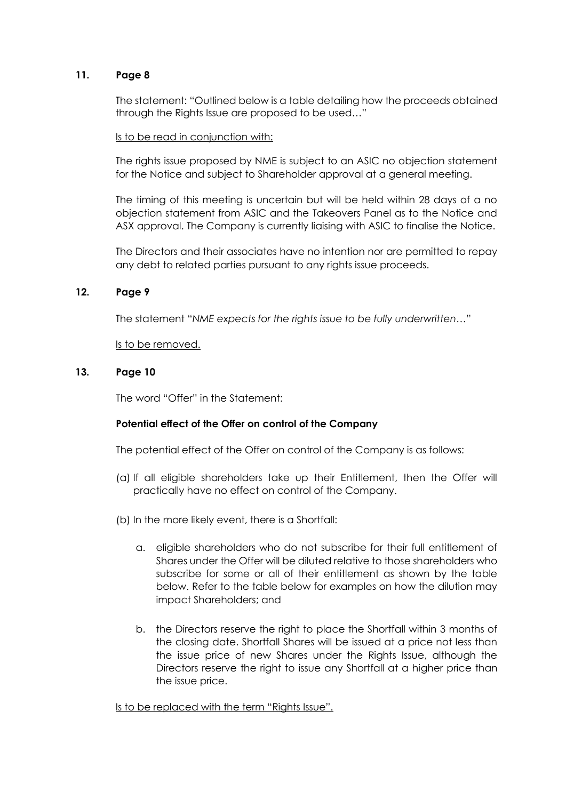# **11. Page 8**

The statement: "Outlined below is a table detailing how the proceeds obtained through the Rights Issue are proposed to be used…"

#### Is to be read in conjunction with:

The rights issue proposed by NME is subject to an ASIC no objection statement for the Notice and subject to Shareholder approval at a general meeting.

The timing of this meeting is uncertain but will be held within 28 days of a no objection statement from ASIC and the Takeovers Panel as to the Notice and ASX approval. The Company is currently liaising with ASIC to finalise the Notice.

The Directors and their associates have no intention nor are permitted to repay any debt to related parties pursuant to any rights issue proceeds.

## **12. Page 9**

The statement "*NME expects for the rights issue to be fully underwritten…*"

Is to be removed.

## **13. Page 10**

The word "Offer" in the Statement:

## **Potential effect of the Offer on control of the Company**

The potential effect of the Offer on control of the Company is as follows:

- (a) If all eligible shareholders take up their Entitlement, then the Offer will practically have no effect on control of the Company.
- (b) In the more likely event, there is a Shortfall:
	- a. eligible shareholders who do not subscribe for their full entitlement of Shares under the Offer will be diluted relative to those shareholders who subscribe for some or all of their entitlement as shown by the table below. Refer to the table below for examples on how the dilution may impact Shareholders; and
	- b. the Directors reserve the right to place the Shortfall within 3 months of the closing date. Shortfall Shares will be issued at a price not less than the issue price of new Shares under the Rights Issue, although the Directors reserve the right to issue any Shortfall at a higher price than the issue price.

Is to be replaced with the term "Rights Issue".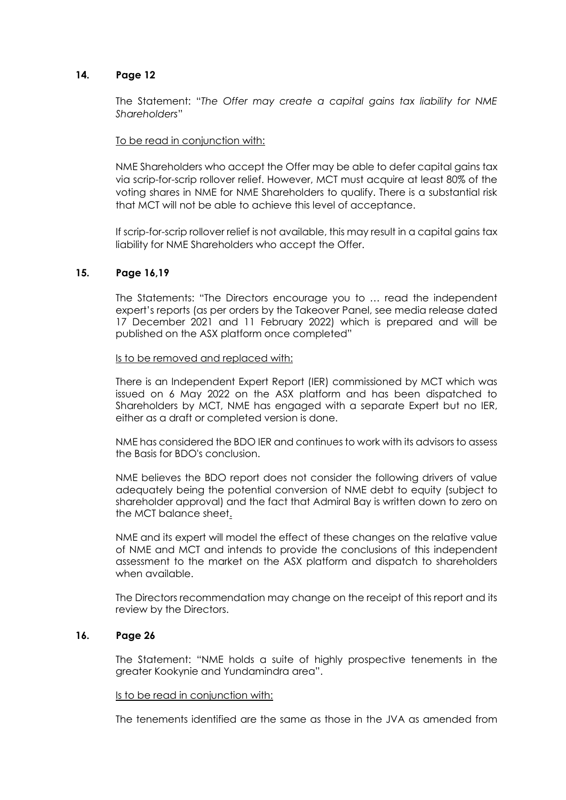## **14. Page 12**

The Statement: "*The Offer may create a capital gains tax liability for NME Shareholders*"

## To be read in conjunction with:

NME Shareholders who accept the Offer may be able to defer capital gains tax via scrip-for-scrip rollover relief. However, MCT must acquire at least 80% of the voting shares in NME for NME Shareholders to qualify. There is a substantial risk that MCT will not be able to achieve this level of acceptance.

If scrip-for-scrip rollover relief is not available, this may result in a capital gains tax liability for NME Shareholders who accept the Offer.

## **15. Page 16,19**

The Statements: "The Directors encourage you to … read the independent expert's reports (as per orders by the Takeover Panel, see media release dated 17 December 2021 and 11 February 2022) which is prepared and will be published on the ASX platform once completed"

#### Is to be removed and replaced with:

There is an Independent Expert Report (IER) commissioned by MCT which was issued on 6 May 2022 on the ASX platform and has been dispatched to Shareholders by MCT, NME has engaged with a separate Expert but no IER, either as a draft or completed version is done.

NME has considered the BDO IER and continues to work with its advisors to assess the Basis for BDO's conclusion.

NME believes the BDO report does not consider the following drivers of value adequately being the potential conversion of NME debt to equity (subject to shareholder approval) and the fact that Admiral Bay is written down to zero on the MCT balance sheet.

NME and its expert will model the effect of these changes on the relative value of NME and MCT and intends to provide the conclusions of this independent assessment to the market on the ASX platform and dispatch to shareholders when available.

The Directors recommendation may change on the receipt of this report and its review by the Directors.

## **16. Page 26**

The Statement: "NME holds a suite of highly prospective tenements in the greater Kookynie and Yundamindra area".

## Is to be read in conjunction with:

The tenements identified are the same as those in the JVA as amended from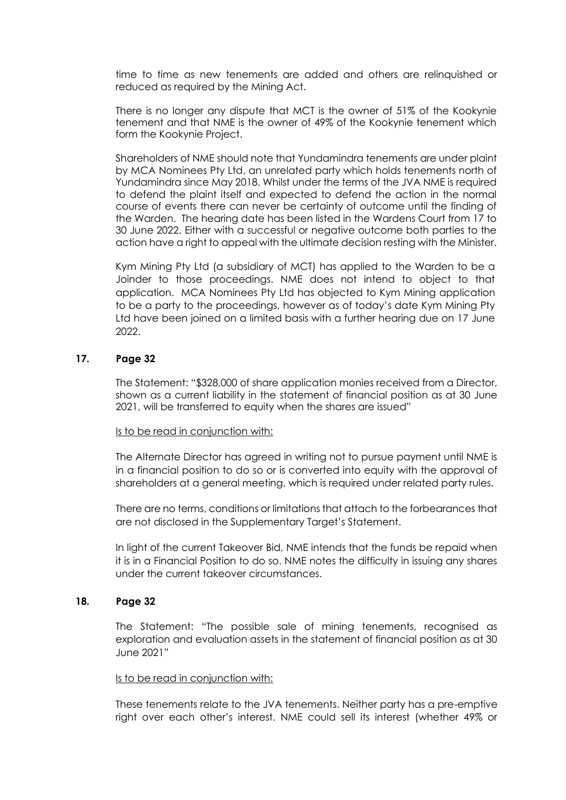time to time as new tenements are added and others are relinquished or reduced as required by the Mining Act.

There is no longer any dispute that MCT is the owner of 51% of the Kookynie tenement and that NME is the owner of 49% of the Kookynie tenement which form the Kookynie Project.

Shareholders of NME should note that Yundamindra tenements are under plaint by MCA Nominees Pty Ltd, an unrelated party which holds tenements north of Yundamindra since May 2018. Whilst under the terms of the JVA NME is required to defend the plaint itself and expected to defend the action in the normal course of events there can never be certainty of outcome until the finding of the Warden. The hearing date has been listed in the Wardens Court from 17 to 30 June 2022. Either with a successful or negative outcome both parties to the action have a right to appeal with the ultimate decision resting with the Minister.

Kym Mining Pty Ltd (a subsidiary of MCT) has applied to the Warden to be a Joinder to those proceedings. NME does not intend to object to that application. MCA Nominees Pty Ltd has objected to Kym Mining application to be a party to the proceedings, however as of today's date Kym Mining Pty Ltd have been joined on a limited basis with a further hearing due on 17 June 2022

## **17. Page 32**

The Statement: "\$328,000 of share application monies received from a Director, shown as a current liability in the statement of financial position as at 30 June 2021, will be transferred to equity when the shares are issued"

## Is to be read in conjunction with:

The Alternate Director has agreed in writing not to pursue payment until NME is in a financial position to do so or is converted into equity with the approval of shareholders at a general meeting, which is required under related party rules.

There are no terms, conditions or limitations that attach to the forbearances that are not disclosed in the Supplementary Target's Statement.

In light of the current Takeover Bid, NME intends that the funds be repaid when it is in a Financial Position to do so. NME notes the difficulty in issuing any shares under the current takeover circumstances.

## **18. Page 32**

The Statement: "The possible sale of mining tenements, recognised as exploration and evaluation assets in the statement of financial position as at 30 June 2021"

## Is to be read in conjunction with:

These tenements relate to the JVA tenements. Neither party has a pre-emptive right over each other's interest. NME could sell its interest (whether 49% or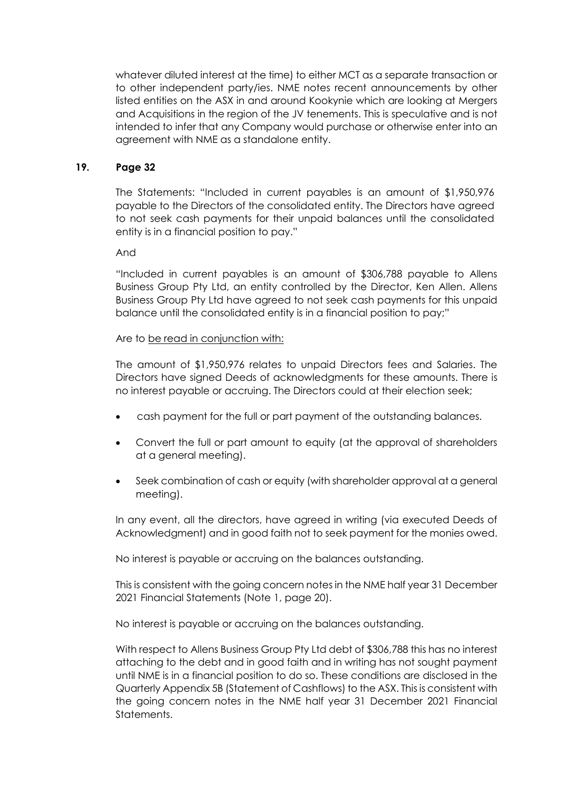whatever diluted interest at the time) to either MCT as a separate transaction or to other independent party/ies. NME notes recent announcements by other listed entities on the ASX in and around Kookynie which are looking at Mergers and Acquisitions in the region of the JV tenements. This is speculative and is not intended to infer that any Company would purchase or otherwise enter into an agreement with NME as a standalone entity.

# **19. Page 32**

The Statements: "Included in current payables is an amount of \$1,950,976 payable to the Directors of the consolidated entity. The Directors have agreed to not seek cash payments for their unpaid balances until the consolidated entity is in a financial position to pay."

And

"Included in current payables is an amount of \$306,788 payable to Allens Business Group Pty Ltd, an entity controlled by the Director, Ken Allen. Allens Business Group Pty Ltd have agreed to not seek cash payments for this unpaid balance until the consolidated entity is in a financial position to pay;"

# Are to be read in conjunction with:

The amount of \$1,950,976 relates to unpaid Directors fees and Salaries. The Directors have signed Deeds of acknowledgments for these amounts. There is no interest payable or accruing. The Directors could at their election seek;

- cash payment for the full or part payment of the outstanding balances.
- Convert the full or part amount to equity (at the approval of shareholders at a general meeting).
- Seek combination of cash or equity (with shareholder approval at a general meeting).

In any event, all the directors, have agreed in writing (via executed Deeds of Acknowledgment) and in good faith not to seek payment for the monies owed.

No interest is payable or accruing on the balances outstanding.

This is consistent with the going concern notes in the NME half year 31 December 2021 Financial Statements (Note 1, page 20).

No interest is payable or accruing on the balances outstanding.

With respect to Allens Business Group Pty Ltd debt of \$306,788 this has no interest attaching to the debt and in good faith and in writing has not sought payment until NME is in a financial position to do so. These conditions are disclosed in the Quarterly Appendix 5B (Statement of Cashflows) to the ASX. This is consistent with the going concern notes in the NME half year 31 December 2021 Financial **Statements**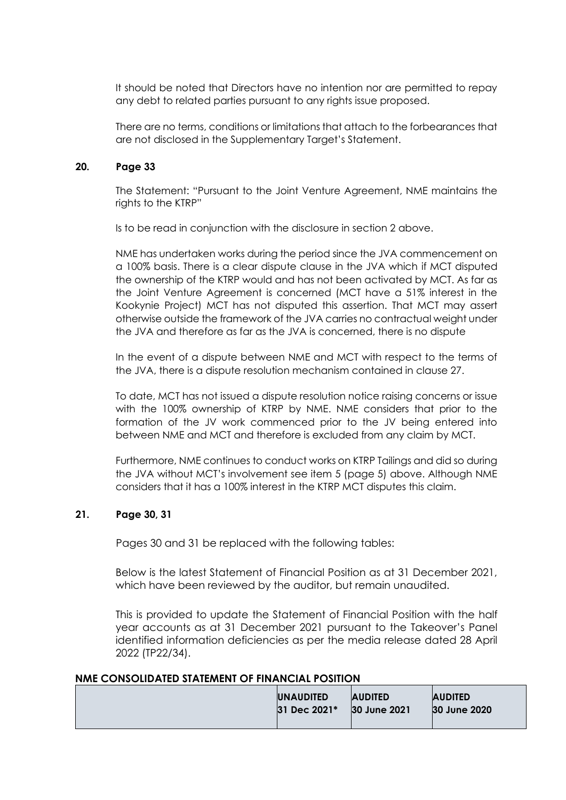It should be noted that Directors have no intention nor are permitted to repay any debt to related parties pursuant to any rights issue proposed.

There are no terms, conditions or limitations that attach to the forbearances that are not disclosed in the Supplementary Target's Statement.

## **20. Page 33**

The Statement: "Pursuant to the Joint Venture Agreement, NME maintains the rights to the KTRP"

Is to be read in conjunction with the disclosure in section 2 above.

NME has undertaken works during the period since the JVA commencement on a 100% basis. There is a clear dispute clause in the JVA which if MCT disputed the ownership of the KTRP would and has not been activated by MCT. As far as the Joint Venture Agreement is concerned (MCT have a 51% interest in the Kookynie Project) MCT has not disputed this assertion. That MCT may assert otherwise outside the framework of the JVA carries no contractual weight under the JVA and therefore as far as the JVA is concerned, there is no dispute

In the event of a dispute between NME and MCT with respect to the terms of the JVA, there is a dispute resolution mechanism contained in clause 27.

To date, MCT has not issued a dispute resolution notice raising concerns or issue with the 100% ownership of KTRP by NME. NME considers that prior to the formation of the JV work commenced prior to the JV being entered into between NME and MCT and therefore is excluded from any claim by MCT.

Furthermore, NME continues to conduct works on KTRP Tailings and did so during the JVA without MCT's involvement see item 5 (page 5) above. Although NME considers that it has a 100% interest in the KTRP MCT disputes this claim.

# **21. Page 30, 31**

Pages 30 and 31 be replaced with the following tables:

Below is the latest Statement of Financial Position as at 31 December 2021, which have been reviewed by the auditor, but remain unaudited.

This is provided to update the Statement of Financial Position with the half year accounts as at 31 December 2021 pursuant to the Takeover's Panel identified information deficiencies as per the media release dated 28 April 2022 (TP22/34).

## **NME CONSOLIDATED STATEMENT OF FINANCIAL POSITION**

| <b>UNAUDITED</b> | <b>AUDITED</b> | <b>AUDITED</b> |
|------------------|----------------|----------------|
| 31 Dec 2021*     | 30 June 2021   | 30 June 2020   |
|                  |                |                |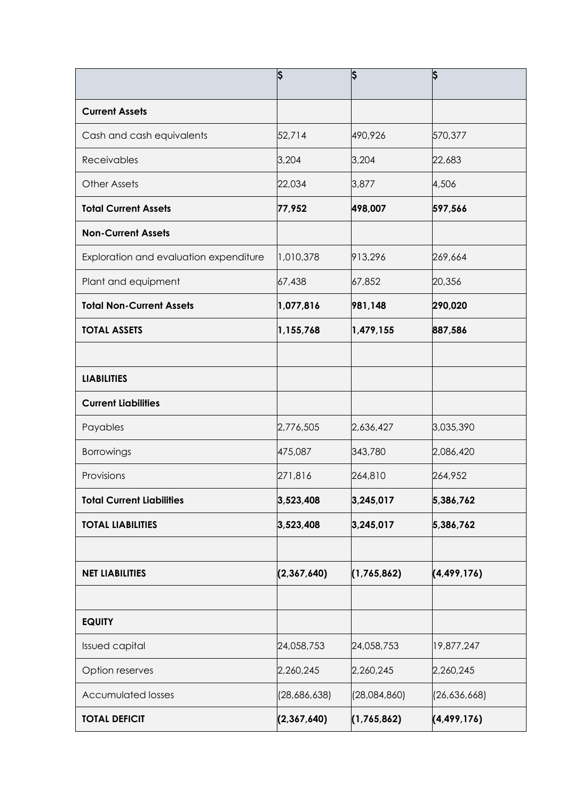|                                        | Ş            | S            | \$            |
|----------------------------------------|--------------|--------------|---------------|
| <b>Current Assets</b>                  |              |              |               |
| Cash and cash equivalents              | 52,714       | 490,926      | 570,377       |
| Receivables                            | 3,204        | 3,204        | 22,683        |
| <b>Other Assets</b>                    | 22,034       | 3,877        | 4,506         |
| <b>Total Current Assets</b>            | 77,952       | 498,007      | 597,566       |
| <b>Non-Current Assets</b>              |              |              |               |
| Exploration and evaluation expenditure | 1,010,378    | 913,296      | 269,664       |
| Plant and equipment                    | 67,438       | 67,852       | 20,356        |
| <b>Total Non-Current Assets</b>        | 1,077,816    | 981,148      | 290,020       |
| <b>TOTAL ASSETS</b>                    | 1,155,768    | 1,479,155    | 887,586       |
|                                        |              |              |               |
| <b>LIABILITIES</b>                     |              |              |               |
| <b>Current Liabilities</b>             |              |              |               |
| Payables                               | 2,776,505    | 2,636,427    | 3,035,390     |
| Borrowings                             | 475,087      | 343,780      | 2,086,420     |
| Provisions                             | 271,816      | 264,810      | 264,952       |
| <b>Total Current Liabilities</b>       | 3,523,408    | 3,245,017    | 5,386,762     |
| <b>TOTAL LIABILITIES</b>               | 3,523,408    | 3,245,017    | 5,386,762     |
|                                        |              |              |               |
| <b>NET LIABILITIES</b>                 | (2,367,640)  | (1,765,862)  | (4, 499, 176) |
|                                        |              |              |               |
| <b>EQUITY</b>                          |              |              |               |
| <b>Issued capital</b>                  | 24,058,753   | 24,058,753   | 19,877,247    |
| Option reserves                        | 2,260,245    | 2,260,245    | 2,260,245     |
| <b>Accumulated losses</b>              | (28,686,638) | (28,084,860) | (26,636,668)  |
| <b>TOTAL DEFICIT</b>                   | (2,367,640)  | (1,765,862)  | (4, 499, 176) |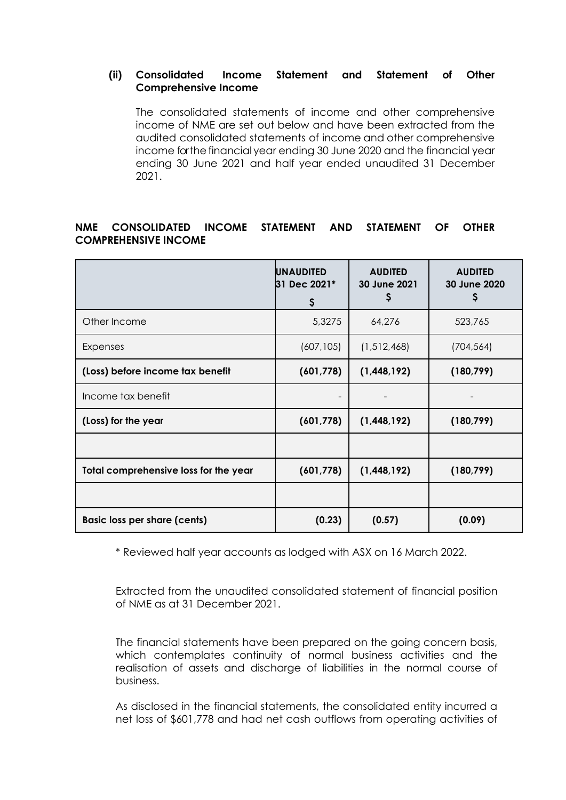# **(ii) Consolidated Income Statement and Statement of Other Comprehensive Income**

The consolidated statements of income and other comprehensive income of NME are set out below and have been extracted from the audited consolidated statements of income and other comprehensive income for the financial year ending 30 June 2020 and the financial year ending 30 June 2021 and half year ended unaudited 31 December 2021.

# **NME CONSOLIDATED INCOME STATEMENT AND STATEMENT OF OTHER COMPREHENSIVE INCOME**

|                                       | <b>UNAUDITED</b><br>31 Dec 2021*<br>\$ | <b>AUDITED</b><br>30 June 2021<br>Ş | <b>AUDITED</b><br>30 June 2020<br>\$ |
|---------------------------------------|----------------------------------------|-------------------------------------|--------------------------------------|
| Other Income                          | 5,3275                                 | 64,276                              | 523,765                              |
| Expenses                              | (607, 105)                             | (1,512,468)                         | (704, 564)                           |
| (Loss) before income tax benefit      | (601, 778)                             | (1,448,192)                         | (180, 799)                           |
| Income tax benefit                    |                                        |                                     |                                      |
| (Loss) for the year                   | (601, 778)                             | (1,448,192)                         | (180, 799)                           |
|                                       |                                        |                                     |                                      |
| Total comprehensive loss for the year | (601, 778)                             | (1,448,192)                         | (180, 799)                           |
|                                       |                                        |                                     |                                      |
| <b>Basic loss per share (cents)</b>   | (0.23)                                 | (0.57)                              | (0.09)                               |

\* Reviewed half year accounts as lodged with ASX on 16 March 2022.

Extracted from the unaudited consolidated statement of financial position of NME as at 31 December 2021.

The financial statements have been prepared on the going concern basis, which contemplates continuity of normal business activities and the realisation of assets and discharge of liabilities in the normal course of business.

As disclosed in the financial statements, the consolidated entity incurred a net loss of \$601,778 and had net cash outflows from operating activities of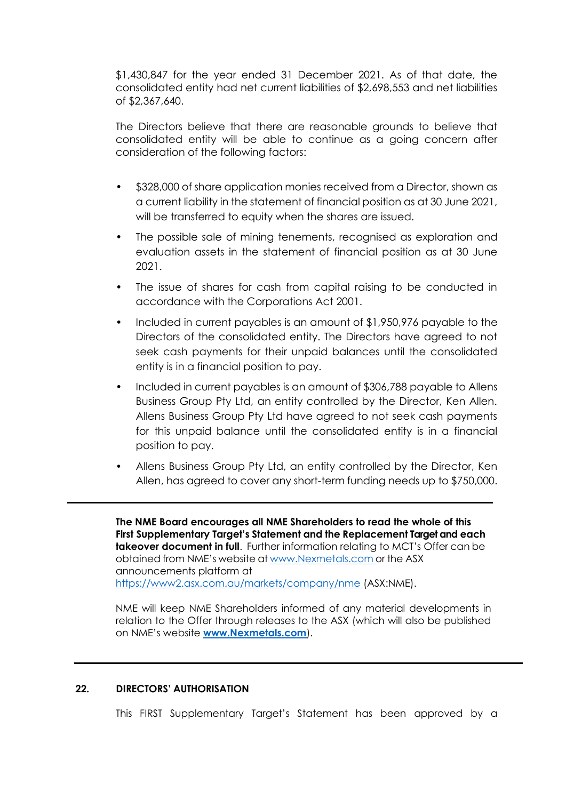\$1,430,847 for the year ended 31 December 2021. As of that date, the consolidated entity had net current liabilities of \$2,698,553 and net liabilities of \$2,367,640.

The Directors believe that there are reasonable grounds to believe that consolidated entity will be able to continue as a going concern after consideration of the following factors:

- \$328,000 of share application monies received from a Director, shown as a current liability in the statement of financial position as at 30 June 2021, will be transferred to equity when the shares are issued.
- The possible sale of mining tenements, recognised as exploration and evaluation assets in the statement of financial position as at 30 June 2021.
- The issue of shares for cash from capital raising to be conducted in accordance with the Corporations Act 2001.
- Included in current payables is an amount of \$1,950,976 payable to the Directors of the consolidated entity. The Directors have agreed to not seek cash payments for their unpaid balances until the consolidated entity is in a financial position to pay.
- Included in current payables is an amount of \$306,788 payable to Allens Business Group Pty Ltd, an entity controlled by the Director, Ken Allen. Allens Business Group Pty Ltd have agreed to not seek cash payments for this unpaid balance until the consolidated entity is in a financial position to pay.
- Allens Business Group Pty Ltd, an entity controlled by the Director, Ken Allen, has agreed to cover any short-term funding needs up to \$750,000.

**The NME Board encourages all NME Shareholders to read the whole of this First Supplementary Target's Statement and the Replacement Target and each takeover document in full**. Further information relating to MCT's Offer can be obtained from NME's website at www.Nexmetals.com or the ASX announcements platform at [https://www2.asx.com.au/markets/company/nme \(](file:///C:/Users/Bradley/AppData/Local/Microsoft/Windows/INetCache/Content.Outlook/8FML9F5H/%20https:/www2.asx.com.au/markets/company/nme)ASX:NME).

NME will keep NME Shareholders informed of any material developments in relation to the Offer through releases to the ASX (which will also be published on NME's website **[www.Nexmetals.com](http://www.nexmetals.com/)**).

# **22. DIRECTORS' AUTHORISATION**

This FIRST Supplementary Target's Statement has been approved by a